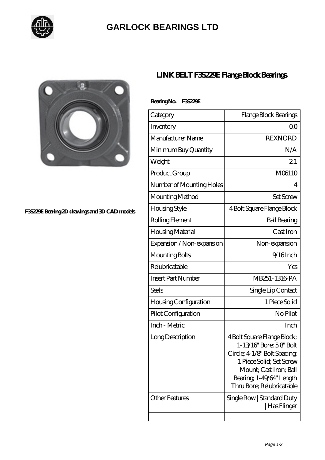

## **[GARLOCK BEARINGS LTD](https://m.letterstopriests.com)**



## **[F3S229E Bearing 2D drawings and 3D CAD models](https://m.letterstopriests.com/pic-188713.html)**

## **[LINK BELT F3S229E Flange Block Bearings](https://m.letterstopriests.com/bz-188713-link-belt-f3s229e-flange-block-bearings.html)**

| BearingNo. | <b>F35229E</b> |
|------------|----------------|
|------------|----------------|

| Category                  | Flange Block Bearings                                                                                                                                                                                  |
|---------------------------|--------------------------------------------------------------------------------------------------------------------------------------------------------------------------------------------------------|
| Inventory                 | Q0                                                                                                                                                                                                     |
| Manufacturer Name         | <b>REXNORD</b>                                                                                                                                                                                         |
| Minimum Buy Quantity      | N/A                                                                                                                                                                                                    |
| Weight                    | 21                                                                                                                                                                                                     |
| Product Group             | M06110                                                                                                                                                                                                 |
| Number of Mounting Holes  | 4                                                                                                                                                                                                      |
| Mounting Method           | <b>Set Screw</b>                                                                                                                                                                                       |
| Housing Style             | 4 Bolt Square Flange Block                                                                                                                                                                             |
| Rolling Element           | <b>Ball Bearing</b>                                                                                                                                                                                    |
| Housing Material          | Cast Iron                                                                                                                                                                                              |
| Expansion / Non-expansion | Non-expansion                                                                                                                                                                                          |
| Mounting Bolts            | $9/16$ Inch                                                                                                                                                                                            |
| Relubricatable            | Yes                                                                                                                                                                                                    |
| <b>Insert Part Number</b> | MB251-1316 PA                                                                                                                                                                                          |
| Seals                     | Single Lip Contact                                                                                                                                                                                     |
| Housing Configuration     | 1 Piece Solid                                                                                                                                                                                          |
| Pilot Configuration       | No Pilot                                                                                                                                                                                               |
| Inch - Metric             | Inch                                                                                                                                                                                                   |
| Long Description          | 4 Bolt Square Flange Block;<br>1-13/16" Bore; 5.8" Bolt<br>Circle; 4 1/8" Bolt Spacing;<br>1 Piece Solid; Set Screw<br>Mount; Cast Iron; Ball<br>Bearing, 1-49/64" Length<br>Thru Bore; Relubricatable |
| <b>Other Features</b>     | Single Row   Standard Duty<br>  Has Flinger                                                                                                                                                            |